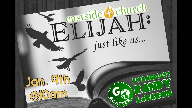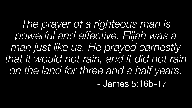*The prayer of a righteous man is powerful and effective. Elijah was a man just like us. He prayed earnestly that it would not rain, and it did not rain on the land for three and a half years.* - James 5:16b-17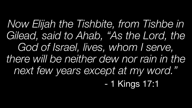*Now Elijah the Tishbite, from Tishbe in*  Gilead, said to Ahab, "As the Lord, the *God of Israel, lives, whom I serve, there will be neither dew nor rain in the next few years except at my word."*

- 1 Kings 17:1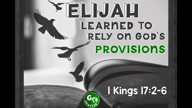## LEARNED TO **RELY ON GOD'S** PROVISIONS

### **1 Kings 17:2-6**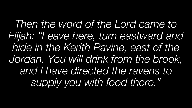*Then the word of the Lord came to Elijah: "Leave here, turn eastward and hide in the Kerith Ravine, east of the Jordan. You will drink from the brook, and I have directed the ravens to supply you with food there."*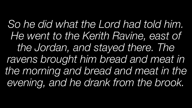*So he did what the Lord had told him. He went to the Kerith Ravine, east of the Jordan, and stayed there. The ravens brought him bread and meat in the morning and bread and meat in the evening, and he drank from the brook.*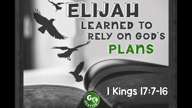# LEARNED TO **RELY ON GOD'S** PLANS

#### **I Kings 17:7-16**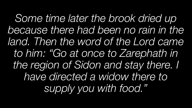*Some time later the brook dried up because there had been no rain in the land. Then the word of the Lord came to him: "Go at once to Zarephath in the region of Sidon and stay there. I have directed a widow there to supply you with food."*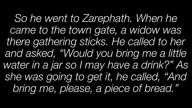*So he went to Zarephath. When he came to the town gate, a widow was there gathering sticks. He called to her and asked, "Would you bring me a little water in a jar so I may have a drink?" As she was going to get it, he called, "And bring me, please, a piece of bread."*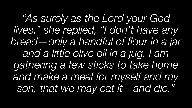*"As surely as the Lord your God lives," she replied, "I don't have any bread—only a handful of flour in a jar and a little olive oil in a jug. I am gathering a few sticks to take home and make a meal for myself and my son, that we may eat it—and die."*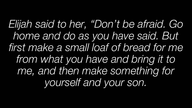*Elijah said to her, "Don't be afraid. Go home and do as you have said. But first make a small loaf of bread for me from what you have and bring it to me, and then make something for yourself and your son.*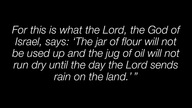*For this is what the Lord, the God of Israel, says: 'The jar of flour will not be used up and the jug of oil will not run dry until the day the Lord sends rain on the land.'"*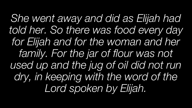*She went away and did as Elijah had told her. So there was food every day for Elijah and for the woman and her family. For the jar of flour was not used up and the jug of oil did not run dry, in keeping with the word of the Lord spoken by Elijah.*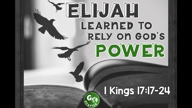# LEARMED TO<br>RELY ON COD'S POWER

## I Kings 17:17-24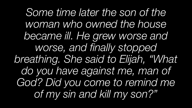*Some time later the son of the woman who owned the house became ill. He grew worse and worse, and finally stopped breathing. She said to Elijah, "What do you have against me, man of God? Did you come to remind me of my sin and kill my son?"*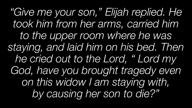*"Give me your son," Elijah replied. He took him from her arms, carried him to the upper room where he was staying, and laid him on his bed. Then he cried out to the Lord, " Lord my God, have you brought tragedy even on this widow I am staying with, by causing her son to die?"*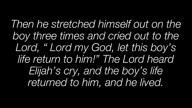*Then he stretched himself out on the boy three times and cried out to the Lord, " Lord my God, let this boy's life return to him!" The Lord heard Elijah's cry, and the boy's life returned to him, and he lived.*